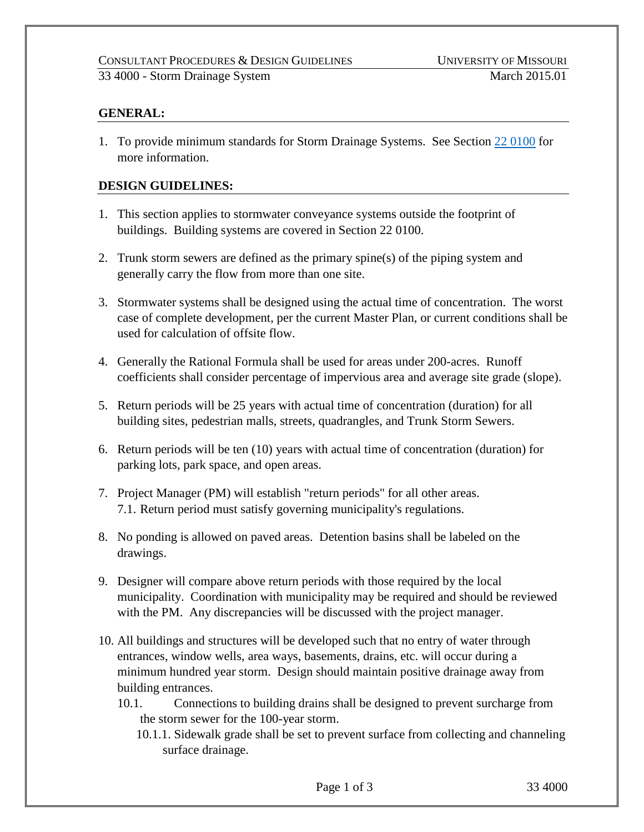### 33 4000 - Storm Drainage System March 2015.01

## **GENERAL:**

1. To provide minimum standards for Storm Drainage Systems. See Section 22 [0100](https://uminfopoint.umsystem.edu/media/fa/management/facilities/docs/220100%20Plumbing%20System%20Design.pdf) for more information.

### **DESIGN GUIDELINES:**

- 1. This section applies to stormwater conveyance systems outside the footprint of buildings. Building systems are covered in Section 22 0100.
- 2. Trunk storm sewers are defined as the primary spine(s) of the piping system and generally carry the flow from more than one site.
- 3. Stormwater systems shall be designed using the actual time of concentration. The worst case of complete development, per the current Master Plan, or current conditions shall be used for calculation of offsite flow.
- 4. Generally the Rational Formula shall be used for areas under 200-acres. Runoff coefficients shall consider percentage of impervious area and average site grade (slope).
- 5. Return periods will be 25 years with actual time of concentration (duration) for all building sites, pedestrian malls, streets, quadrangles, and Trunk Storm Sewers.
- 6. Return periods will be ten (10) years with actual time of concentration (duration) for parking lots, park space, and open areas.
- 7. Project Manager (PM) will establish "return periods" for all other areas. 7.1. Return period must satisfy governing municipality's regulations.
- 8. No ponding is allowed on paved areas. Detention basins shall be labeled on the drawings.
- 9. Designer will compare above return periods with those required by the local municipality. Coordination with municipality may be required and should be reviewed with the PM. Any discrepancies will be discussed with the project manager.
- 10. All buildings and structures will be developed such that no entry of water through entrances, window wells, area ways, basements, drains, etc. will occur during a minimum hundred year storm. Design should maintain positive drainage away from building entrances.
	- 10.1. Connections to building drains shall be designed to prevent surcharge from the storm sewer for the 100-year storm.
		- 10.1.1. Sidewalk grade shall be set to prevent surface from collecting and channeling surface drainage.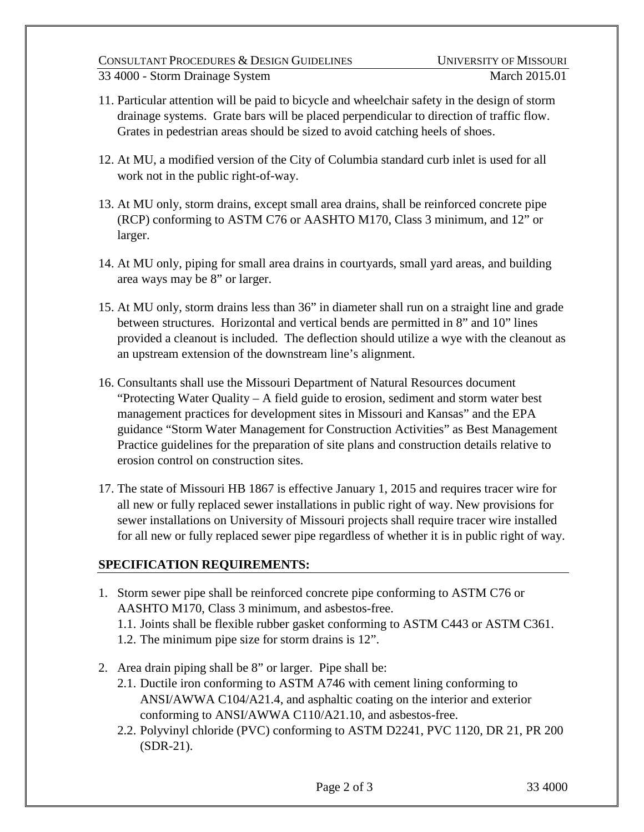#### CONSULTANT PROCEDURES & DESIGN GUIDELINES UNIVERSITY OF MISSOURI 33 4000 - Storm Drainage System March 2015.01

- 11. Particular attention will be paid to bicycle and wheelchair safety in the design of storm drainage systems. Grate bars will be placed perpendicular to direction of traffic flow. Grates in pedestrian areas should be sized to avoid catching heels of shoes.
- 12. At MU, a modified version of the City of Columbia standard curb inlet is used for all work not in the public right-of-way.
- 13. At MU only, storm drains, except small area drains, shall be reinforced concrete pipe (RCP) conforming to ASTM C76 or AASHTO M170, Class 3 minimum, and 12" or larger.
- 14. At MU only, piping for small area drains in courtyards, small yard areas, and building area ways may be 8" or larger.
- 15. At MU only, storm drains less than 36" in diameter shall run on a straight line and grade between structures. Horizontal and vertical bends are permitted in 8" and 10" lines provided a cleanout is included. The deflection should utilize a wye with the cleanout as an upstream extension of the downstream line's alignment.
- 16. Consultants shall use the Missouri Department of Natural Resources document "Protecting Water Quality – A field guide to erosion, sediment and storm water best management practices for development sites in Missouri and Kansas" and the EPA guidance "Storm Water Management for Construction Activities" as Best Management Practice guidelines for the preparation of site plans and construction details relative to erosion control on construction sites.
- 17. The state of Missouri HB 1867 is effective January 1, 2015 and requires tracer wire for all new or fully replaced sewer installations in public right of way. New provisions for sewer installations on University of Missouri projects shall require tracer wire installed for all new or fully replaced sewer pipe regardless of whether it is in public right of way.

# **SPECIFICATION REQUIREMENTS:**

- 1. Storm sewer pipe shall be reinforced concrete pipe conforming to ASTM C76 or AASHTO M170, Class 3 minimum, and asbestos-free.
	- 1.1. Joints shall be flexible rubber gasket conforming to ASTM C443 or ASTM C361.
	- 1.2. The minimum pipe size for storm drains is 12".
- 2. Area drain piping shall be 8" or larger. Pipe shall be:
	- 2.1. Ductile iron conforming to ASTM A746 with cement lining conforming to ANSI/AWWA C104/A21.4, and asphaltic coating on the interior and exterior conforming to ANSI/AWWA C110/A21.10, and asbestos-free.
	- 2.2. Polyvinyl chloride (PVC) conforming to ASTM D2241, PVC 1120, DR 21, PR 200 (SDR-21).